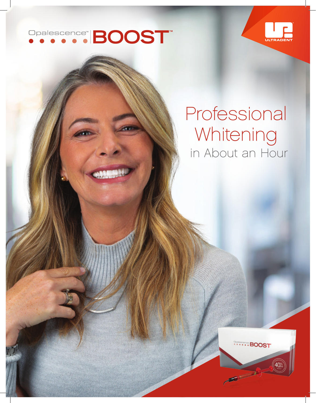# Opalescence" **BOOST**



## Professional Whitening in About an Hour

......BOOST